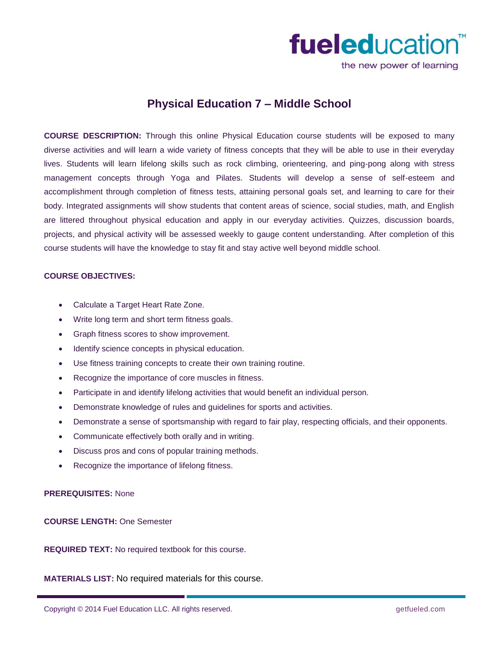

the new power of learning

# **Physical Education 7 – Middle School**

**COURSE DESCRIPTION:** Through this online Physical Education course students will be exposed to many diverse activities and will learn a wide variety of fitness concepts that they will be able to use in their everyday lives. Students will learn lifelong skills such as rock climbing, orienteering, and ping-pong along with stress management concepts through Yoga and Pilates. Students will develop a sense of self-esteem and accomplishment through completion of fitness tests, attaining personal goals set, and learning to care for their body. Integrated assignments will show students that content areas of science, social studies, math, and English are littered throughout physical education and apply in our everyday activities. Quizzes, discussion boards, projects, and physical activity will be assessed weekly to gauge content understanding. After completion of this course students will have the knowledge to stay fit and stay active well beyond middle school.

#### **COURSE OBJECTIVES:**

- Calculate a Target Heart Rate Zone.
- Write long term and short term fitness goals.
- Graph fitness scores to show improvement.
- Identify science concepts in physical education.
- Use fitness training concepts to create their own training routine.
- Recognize the importance of core muscles in fitness.
- Participate in and identify lifelong activities that would benefit an individual person.
- Demonstrate knowledge of rules and guidelines for sports and activities.
- Demonstrate a sense of sportsmanship with regard to fair play, respecting officials, and their opponents.
- Communicate effectively both orally and in writing.
- Discuss pros and cons of popular training methods.
- Recognize the importance of lifelong fitness.

### **PREREQUISITES:** None

## **COURSE LENGTH:** One Semester

**REQUIRED TEXT:** No required textbook for this course.

**MATERIALS LIST:** No required materials for this course.